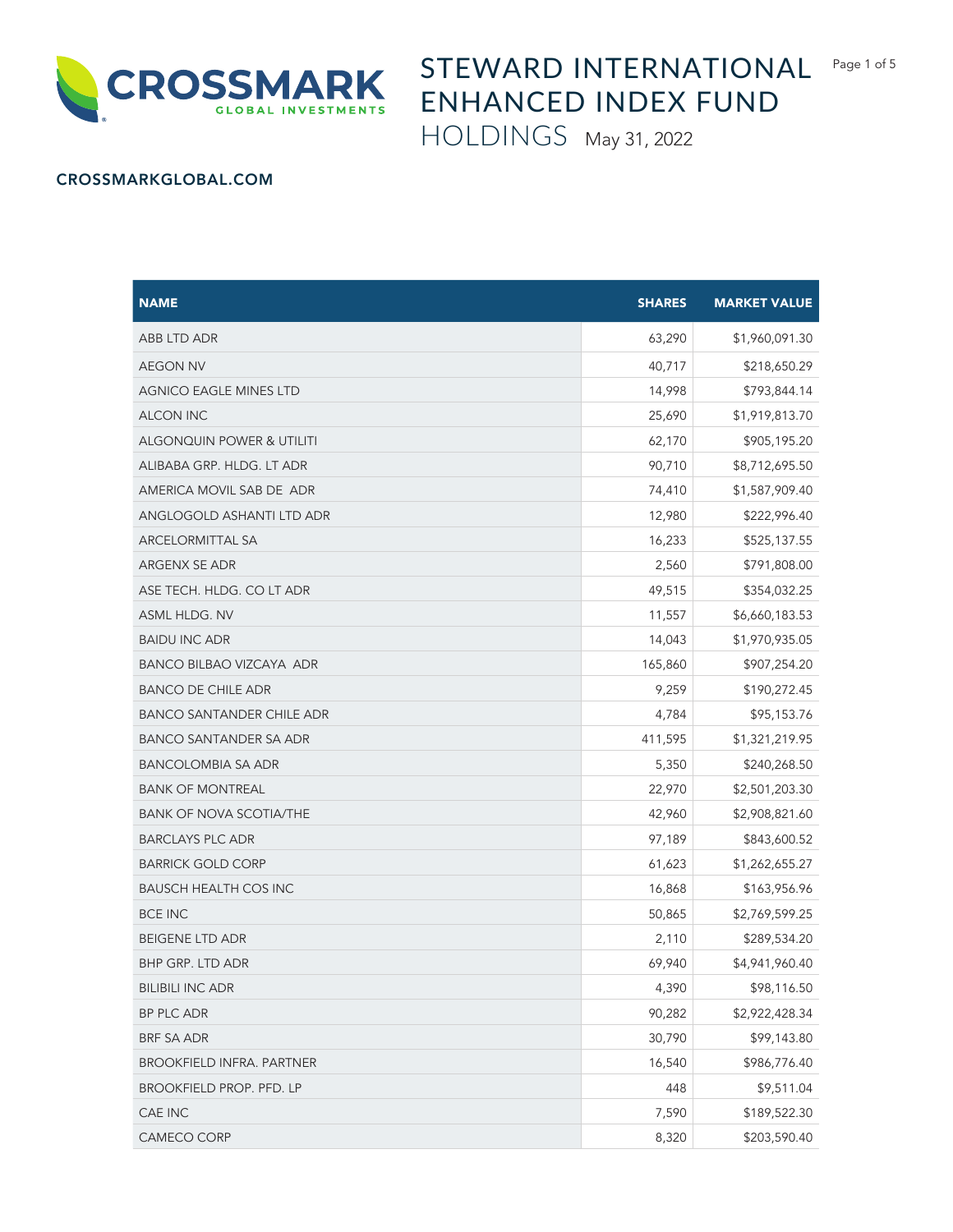

## STEWARD INTERNATIONAL Page 1 of 5 ENHANCED INDEX FUND

HOLDINGS May 31, 2022

## CROSSMARKGLOBAL.COM

| <b>NAME</b>                      | <b>SHARES</b> | <b>MARKET VALUE</b> |
|----------------------------------|---------------|---------------------|
| ABB LTD ADR                      | 63,290        | \$1,960,091.30      |
| <b>AEGON NV</b>                  | 40,717        | \$218,650.29        |
| AGNICO EAGLE MINES LTD           | 14,998        | \$793,844.14        |
| <b>ALCON INC</b>                 | 25,690        | \$1,919,813.70      |
| ALGONQUIN POWER & UTILITI        | 62,170        | \$905,195.20        |
| ALIBABA GRP. HLDG. LT ADR        | 90,710        | \$8,712,695.50      |
| AMERICA MOVIL SAB DE ADR         | 74,410        | \$1,587,909.40      |
| ANGLOGOLD ASHANTI LTD ADR        | 12,980        | \$222,996.40        |
| ARCELORMITTAL SA                 | 16,233        | \$525,137.55        |
| ARGENX SE ADR                    | 2,560         | \$791,808.00        |
| ASE TECH. HLDG. CO LT ADR        | 49,515        | \$354,032.25        |
| ASML HLDG. NV                    | 11,557        | \$6,660,183.53      |
| <b>BAIDU INC ADR</b>             | 14,043        | \$1,970,935.05      |
| BANCO BILBAO VIZCAYA ADR         | 165,860       | \$907,254.20        |
| <b>BANCO DE CHILE ADR</b>        | 9,259         | \$190,272.45        |
| <b>BANCO SANTANDER CHILE ADR</b> | 4,784         | \$95,153.76         |
| BANCO SANTANDER SA ADR           | 411,595       | \$1,321,219.95      |
| <b>BANCOLOMBIA SA ADR</b>        | 5,350         | \$240,268.50        |
| <b>BANK OF MONTREAL</b>          | 22,970        | \$2,501,203.30      |
| <b>BANK OF NOVA SCOTIA/THE</b>   | 42,960        | \$2,908,821.60      |
| <b>BARCLAYS PLC ADR</b>          | 97,189        | \$843,600.52        |
| <b>BARRICK GOLD CORP</b>         | 61,623        | \$1,262,655.27      |
| <b>BAUSCH HEALTH COS INC</b>     | 16,868        | \$163,956.96        |
| <b>BCE INC</b>                   | 50,865        | \$2,769,599.25      |
| <b>BEIGENE LTD ADR</b>           | 2,110         | \$289,534.20        |
| BHP GRP. LTD ADR                 | 69,940        | \$4,941,960.40      |
| <b>BILIBILI INC ADR</b>          | 4,390         | \$98,116.50         |
| BP PLC ADR                       | 90,282        | \$2,922,428.34      |
| <b>BRF SA ADR</b>                | 30,790        | \$99,143.80         |
| <b>BROOKFIELD INFRA. PARTNER</b> | 16,540        | \$986,776.40        |
| BROOKFIELD PROP. PFD. LP         | 448           | \$9,511.04          |
| CAE INC                          | 7,590         | \$189,522.30        |
| CAMECO CORP                      | 8,320         | \$203,590.40        |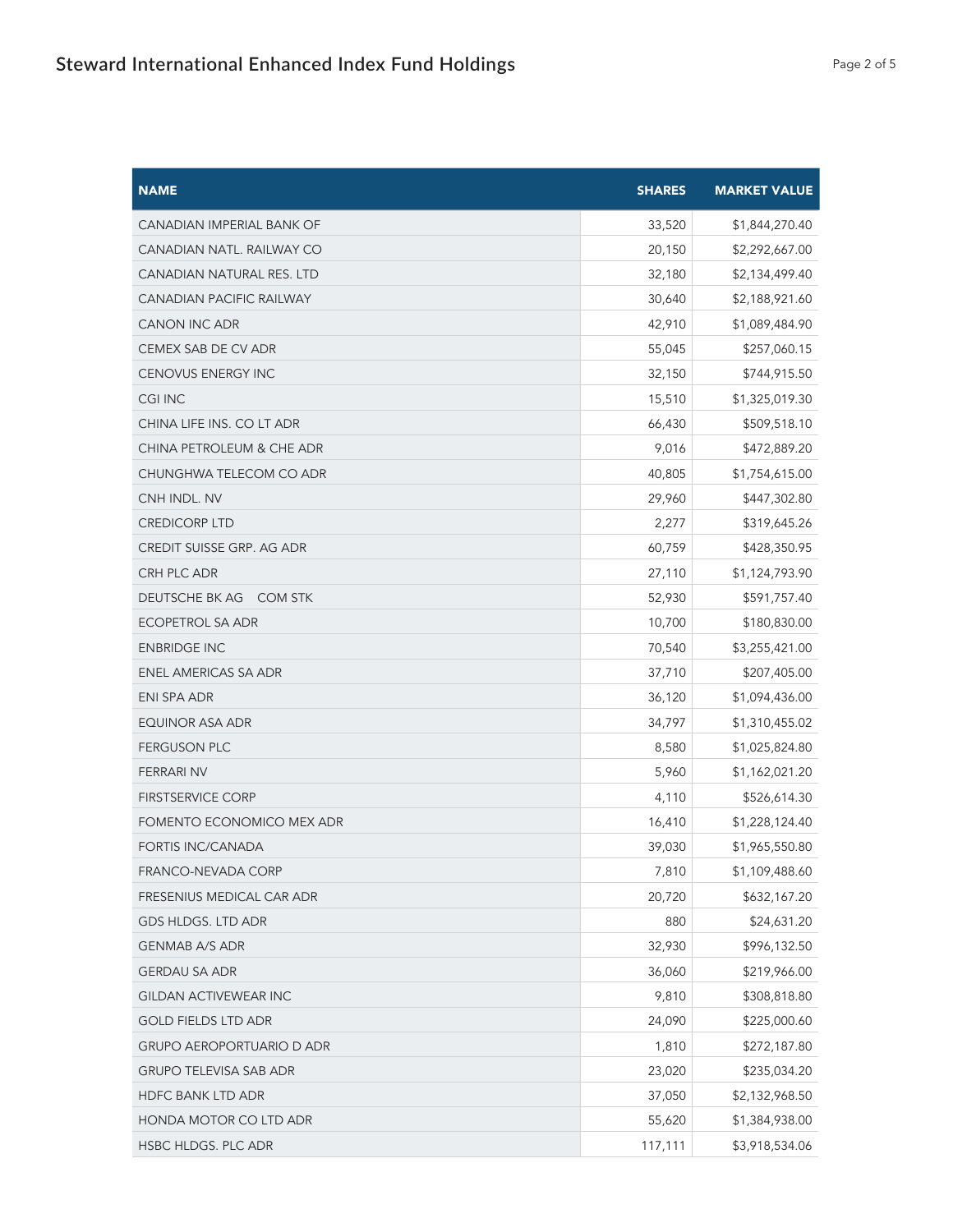| <b>NAME</b>                      | <b>SHARES</b> | <b>MARKET VALUE</b> |
|----------------------------------|---------------|---------------------|
| CANADIAN IMPERIAL BANK OF        | 33,520        | \$1,844,270.40      |
| CANADIAN NATL. RAILWAY CO        | 20,150        | \$2,292,667.00      |
| CANADIAN NATURAL RES. LTD        | 32,180        | \$2,134,499.40      |
| <b>CANADIAN PACIFIC RAILWAY</b>  | 30,640        | \$2,188,921.60      |
| <b>CANON INC ADR</b>             | 42,910        | \$1,089,484.90      |
| CEMEX SAB DE CV ADR              | 55,045        | \$257,060.15        |
| CENOVUS ENERGY INC               | 32,150        | \$744,915.50        |
| <b>CGI INC</b>                   | 15,510        | \$1,325,019.30      |
| CHINA LIFE INS. CO LT ADR        | 66,430        | \$509,518.10        |
| CHINA PETROLEUM & CHE ADR        | 9,016         | \$472,889.20        |
| CHUNGHWA TELECOM CO ADR          | 40,805        | \$1,754,615.00      |
| CNH INDL. NV                     | 29,960        | \$447,302.80        |
| <b>CREDICORP LTD</b>             | 2,277         | \$319,645.26        |
| CREDIT SUISSE GRP. AG ADR        | 60,759        | \$428,350.95        |
| CRH PLC ADR                      | 27,110        | \$1,124,793.90      |
| DEUTSCHE BK AG<br>COM STK        | 52,930        | \$591,757.40        |
| ECOPETROL SA ADR                 | 10,700        | \$180,830.00        |
| <b>ENBRIDGE INC</b>              | 70,540        | \$3,255,421.00      |
| ENEL AMERICAS SA ADR             | 37,710        | \$207,405.00        |
| ENI SPA ADR                      | 36,120        | \$1,094,436.00      |
| EQUINOR ASA ADR                  | 34,797        | \$1,310,455.02      |
| <b>FERGUSON PLC</b>              | 8,580         | \$1,025,824.80      |
| <b>FERRARI NV</b>                | 5,960         | \$1,162,021.20      |
| <b>FIRSTSERVICE CORP</b>         | 4,110         | \$526,614.30        |
| FOMENTO ECONOMICO MEX ADR        | 16,410        | \$1,228,124.40      |
| FORTIS INC/CANADA                | 39,030        | \$1,965,550.80      |
| FRANCO-NEVADA CORP               | 7,810         | \$1,109,488.60      |
| FRESENIUS MEDICAL CAR ADR        | 20,720        | \$632,167.20        |
| GDS HLDGS. LTD ADR               | 880           | \$24,631.20         |
| <b>GENMAB A/S ADR</b>            | 32,930        | \$996,132.50        |
| <b>GERDAU SA ADR</b>             | 36,060        | \$219,966.00        |
| GILDAN ACTIVEWEAR INC            | 9,810         | \$308,818.80        |
| <b>GOLD FIELDS LTD ADR</b>       | 24,090        | \$225,000.60        |
| <b>GRUPO AEROPORTUARIO D ADR</b> | 1,810         | \$272,187.80        |
| <b>GRUPO TELEVISA SAB ADR</b>    | 23,020        | \$235,034.20        |
| HDFC BANK LTD ADR                | 37,050        | \$2,132,968.50      |
| HONDA MOTOR CO LTD ADR           | 55,620        | \$1,384,938.00      |
| HSBC HLDGS. PLC ADR              | 117,111       | \$3,918,534.06      |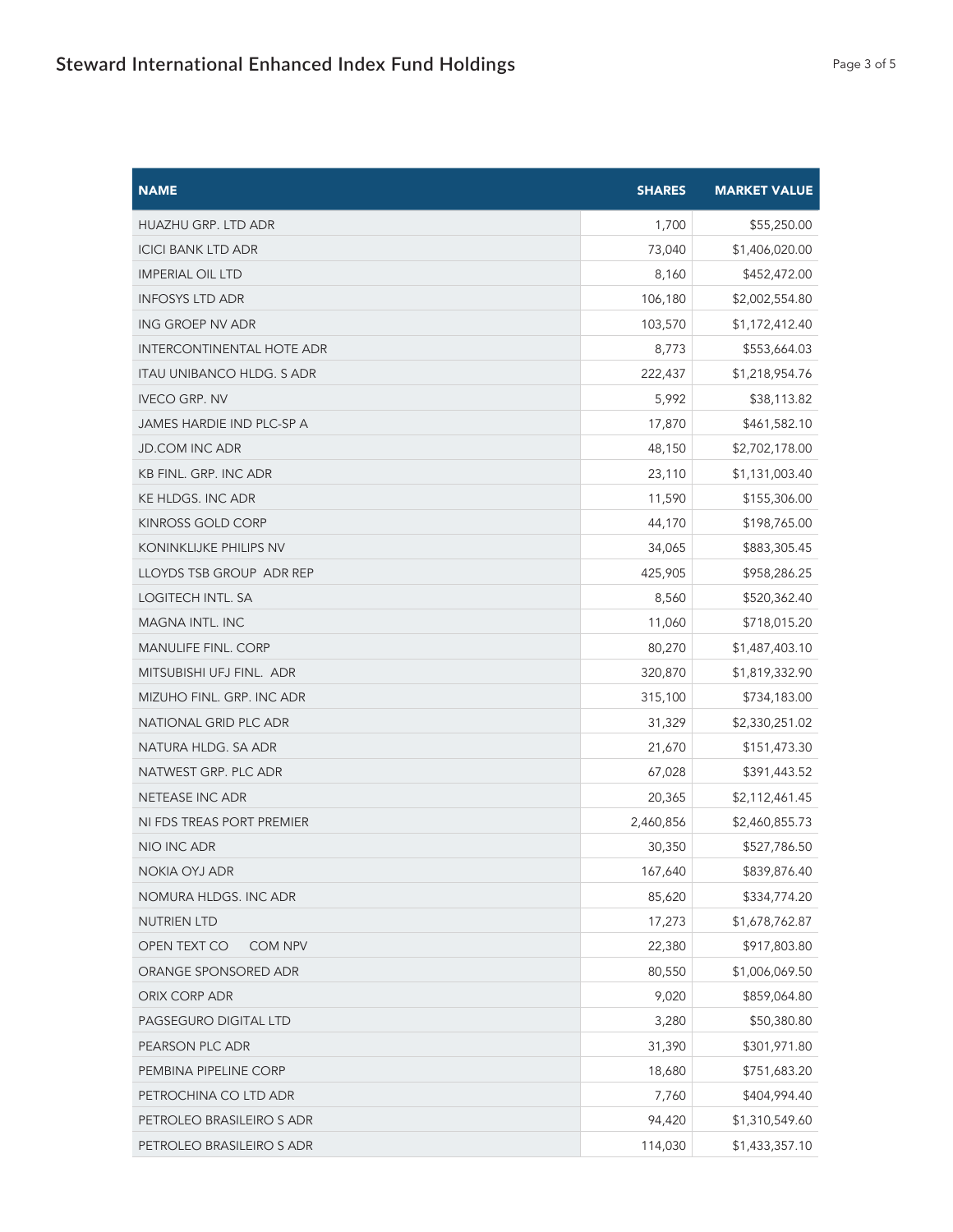| <b>NAME</b>                      | <b>SHARES</b> | <b>MARKET VALUE</b> |
|----------------------------------|---------------|---------------------|
| <b>HUAZHU GRP. LTD ADR</b>       | 1,700         | \$55,250.00         |
| <b>ICICI BANK LTD ADR</b>        | 73,040        | \$1,406,020.00      |
| <b>IMPERIAL OIL LTD</b>          | 8,160         | \$452,472.00        |
| <b>INFOSYS LTD ADR</b>           | 106,180       | \$2,002,554.80      |
| ING GROEP NV ADR                 | 103,570       | \$1,172,412.40      |
| <b>INTERCONTINENTAL HOTE ADR</b> | 8,773         | \$553,664.03        |
| ITAU UNIBANCO HLDG. S ADR        | 222,437       | \$1,218,954.76      |
| <b>IVECO GRP. NV</b>             | 5,992         | \$38,113.82         |
| JAMES HARDIE IND PLC-SP A        | 17,870        | \$461,582.10        |
| <b>JD.COM INC ADR</b>            | 48,150        | \$2,702,178.00      |
| <b>KB FINL. GRP. INC ADR</b>     | 23,110        | \$1,131,003.40      |
| KE HLDGS. INC ADR                | 11,590        | \$155,306.00        |
| <b>KINROSS GOLD CORP</b>         | 44,170        | \$198,765.00        |
| <b>KONINKLIJKE PHILIPS NV</b>    | 34,065        | \$883,305.45        |
| LLOYDS TSB GROUP ADR REP         | 425,905       | \$958,286.25        |
| LOGITECH INTL. SA                | 8,560         | \$520,362.40        |
| MAGNA INTL. INC                  | 11,060        | \$718,015.20        |
| <b>MANULIFE FINL. CORP</b>       | 80,270        | \$1,487,403.10      |
| MITSUBISHI UFJ FINL. ADR         | 320,870       | \$1,819,332.90      |
| MIZUHO FINL. GRP. INC ADR        | 315,100       | \$734,183.00        |
| NATIONAL GRID PLC ADR            | 31,329        | \$2,330,251.02      |
| NATURA HLDG. SA ADR              | 21,670        | \$151,473.30        |
| NATWEST GRP. PLC ADR             | 67,028        | \$391,443.52        |
| NETEASE INC ADR                  | 20,365        | \$2,112,461.45      |
| NI FDS TREAS PORT PREMIER        | 2,460,856     | \$2,460,855.73      |
| NIO INC ADR                      | 30,350        | \$527,786.50        |
| NOKIA OYJ ADR                    | 167,640       | \$839,876.40        |
| NOMURA HLDGS. INC ADR            | 85,620        | \$334,774.20        |
| NUTRIEN LTD                      | 17,273        | \$1,678,762.87      |
| OPEN TEXT CO<br>COM NPV          | 22,380        | \$917,803.80        |
| ORANGE SPONSORED ADR             | 80,550        | \$1,006,069.50      |
| ORIX CORP ADR                    | 9,020         | \$859,064.80        |
| PAGSEGURO DIGITAL LTD            | 3,280         | \$50,380.80         |
| PEARSON PLC ADR                  | 31,390        | \$301,971.80        |
| PEMBINA PIPELINE CORP            | 18,680        | \$751,683.20        |
| PETROCHINA CO LTD ADR            | 7,760         | \$404,994.40        |
| PETROLEO BRASILEIRO S ADR        | 94,420        | \$1,310,549.60      |
| PETROLEO BRASILEIRO S ADR        | 114,030       | \$1,433,357.10      |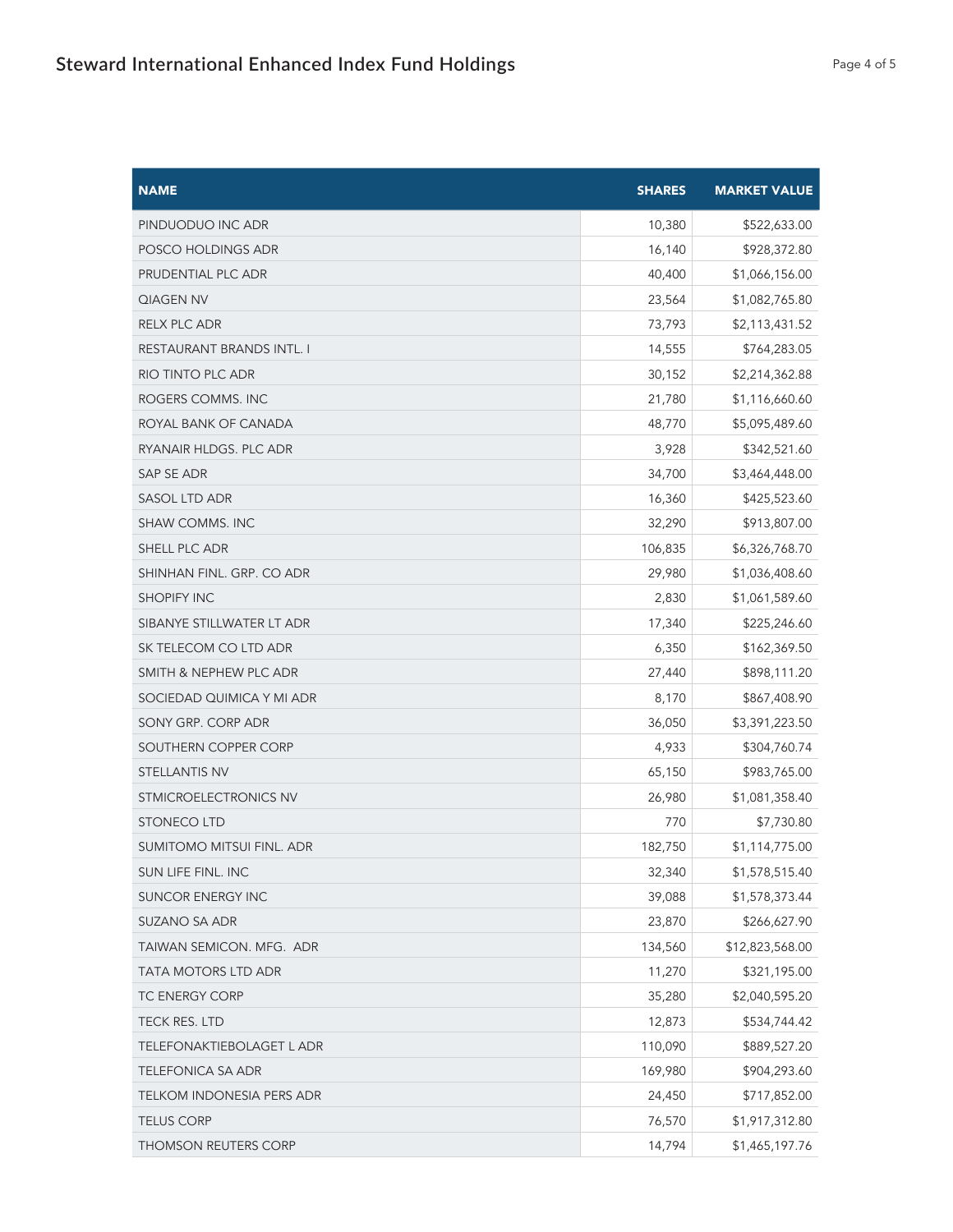| <b>NAME</b>                      | <b>SHARES</b> | <b>MARKET VALUE</b> |
|----------------------------------|---------------|---------------------|
| PINDUODUO INC ADR                | 10,380        | \$522,633.00        |
| POSCO HOLDINGS ADR               | 16,140        | \$928,372.80        |
| PRUDENTIAL PLC ADR               | 40,400        | \$1,066,156.00      |
| QIAGEN NV                        | 23,564        | \$1,082,765.80      |
| RELX PLC ADR                     | 73,793        | \$2,113,431.52      |
| RESTAURANT BRANDS INTL. I        | 14,555        | \$764,283.05        |
| RIO TINTO PLC ADR                | 30,152        | \$2,214,362.88      |
| ROGERS COMMS. INC                | 21,780        | \$1,116,660.60      |
| ROYAL BANK OF CANADA             | 48,770        | \$5,095,489.60      |
| RYANAIR HLDGS. PLC ADR           | 3,928         | \$342,521.60        |
| SAP SE ADR                       | 34,700        | \$3,464,448.00      |
| <b>SASOL LTD ADR</b>             | 16,360        | \$425,523.60        |
| SHAW COMMS. INC                  | 32,290        | \$913,807.00        |
| SHELL PLC ADR                    | 106,835       | \$6,326,768.70      |
| SHINHAN FINL. GRP. CO ADR        | 29,980        | \$1,036,408.60      |
| <b>SHOPIFY INC</b>               | 2,830         | \$1,061,589.60      |
| SIBANYE STILLWATER LT ADR        | 17,340        | \$225,246.60        |
| SK TELECOM CO LTD ADR            | 6,350         | \$162,369.50        |
| SMITH & NEPHEW PLC ADR           | 27,440        | \$898,111.20        |
| SOCIEDAD QUIMICA Y MI ADR        | 8,170         | \$867,408.90        |
| SONY GRP. CORP ADR               | 36,050        | \$3,391,223.50      |
| SOUTHERN COPPER CORP             | 4,933         | \$304,760.74        |
| <b>STELLANTIS NV</b>             | 65,150        | \$983,765.00        |
| STMICROELECTRONICS NV            | 26,980        | \$1,081,358.40      |
| <b>STONECO LTD</b>               | 770           | \$7,730.80          |
| SUMITOMO MITSUI FINL. ADR        | 182,750       | \$1,114,775.00      |
| SUN LIFE FINL. INC               | 32,340        | \$1,578,515.40      |
| <b>SUNCOR ENERGY INC</b>         | 39,088        | \$1,578,373.44      |
| SUZANO SA ADR                    | 23,870        | \$266,627.90        |
| TAIWAN SEMICON. MFG. ADR         | 134,560       | \$12,823,568.00     |
| TATA MOTORS LTD ADR              | 11,270        | \$321,195.00        |
| TC ENERGY CORP                   | 35,280        | \$2,040,595.20      |
| TECK RES. LTD                    | 12,873        | \$534,744.42        |
| TELEFONAKTIEBOLAGET L ADR        | 110,090       | \$889,527.20        |
| <b>TELEFONICA SA ADR</b>         | 169,980       | \$904,293.60        |
| <b>TELKOM INDONESIA PERS ADR</b> | 24,450        | \$717,852.00        |
| <b>TELUS CORP</b>                | 76,570        | \$1,917,312.80      |
| THOMSON REUTERS CORP             | 14,794        | \$1,465,197.76      |